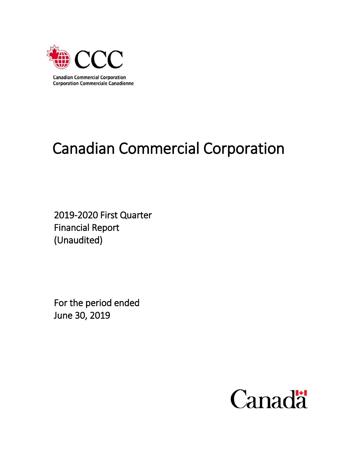

# Canadian Commercial Corporation

2019-2020 First Quarter Financial Report (Unaudited)

For the period ended June 30, 2019

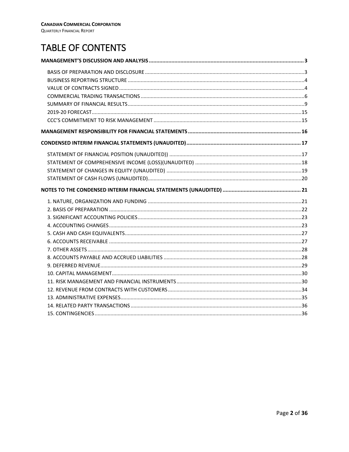# TABLE OF CONTENTS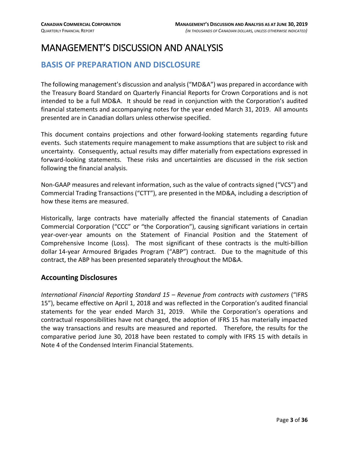## <span id="page-2-0"></span>MANAGEMENT'S DISCUSSION AND ANALYSIS

#### <span id="page-2-1"></span>**BASIS OF PREPARATION AND DISCLOSURE**

The following management's discussion and analysis ("MD&A") was prepared in accordance with the Treasury Board Standard on Quarterly Financial Reports for Crown Corporations and is not intended to be a full MD&A. It should be read in conjunction with the Corporation's audited financial statements and accompanying notes for the year ended March 31, 2019. All amounts presented are in Canadian dollars unless otherwise specified.

This document contains projections and other forward-looking statements regarding future events. Such statements require management to make assumptions that are subject to risk and uncertainty. Consequently, actual results may differ materially from expectations expressed in forward-looking statements. These risks and uncertainties are discussed in the risk section following the financial analysis.

Non-GAAP measures and relevant information, such as the value of contracts signed ("VCS") and Commercial Trading Transactions ("CTT"), are presented in the MD&A, including a description of how these items are measured.

Historically, large contracts have materially affected the financial statements of Canadian Commercial Corporation ("CCC" or "the Corporation"), causing significant variations in certain year-over-year amounts on the Statement of Financial Position and the Statement of Comprehensive Income (Loss). The most significant of these contracts is the multi-billion dollar 14-year Armoured Brigades Program ("ABP") contract. Due to the magnitude of this contract, the ABP has been presented separately throughout the MD&A.

#### **Accounting Disclosures**

*International Financial Reporting Standard 15 – Revenue from contracts with customers* ("IFRS 15"), became effective on April 1, 2018 and was reflected in the Corporation's audited financial statements for the year ended March 31, 2019. While the Corporation's operations and contractual responsibilities have not changed, the adoption of IFRS 15 has materially impacted the way transactions and results are measured and reported. Therefore, the results for the comparative period June 30, 2018 have been restated to comply with IFRS 15 with details in Note 4 of the Condensed Interim Financial Statements.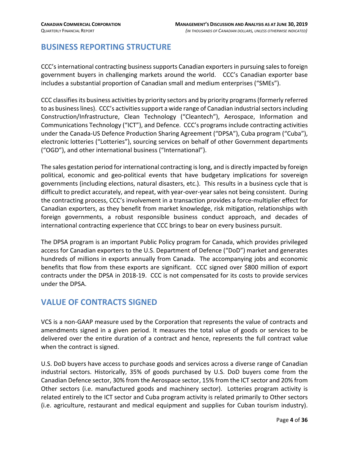#### <span id="page-3-0"></span>**BUSINESS REPORTING STRUCTURE**

CCC's international contracting business supports Canadian exporters in pursuing sales to foreign government buyers in challenging markets around the world. CCC's Canadian exporter base includes a substantial proportion of Canadian small and medium enterprises ("SMEs").

CCC classifies its business activities by priority sectors and by priority programs(formerly referred to as business lines). CCC's activities support a wide range of Canadian industrial sectorsincluding Construction/Infrastructure, Clean Technology ("Cleantech"), Aerospace, Information and Communications Technology ("ICT"), and Defence. CCC's programs include contracting activities under the Canada-US Defence Production Sharing Agreement ("DPSA"), Cuba program ("Cuba"), electronic lotteries ("Lotteries"), sourcing services on behalf of other Government departments ("OGD"), and other international business ("International").

The sales gestation period for international contracting is long, and is directly impacted by foreign political, economic and geo-political events that have budgetary implications for sovereign governments (including elections, natural disasters, etc.). This results in a business cycle that is difficult to predict accurately, and repeat, with year-over-year sales not being consistent. During the contracting process, CCC's involvement in a transaction provides a force-multiplier effect for Canadian exporters, as they benefit from market knowledge, risk mitigation, relationships with foreign governments, a robust responsible business conduct approach, and decades of international contracting experience that CCC brings to bear on every business pursuit.

The DPSA program is an important Public Policy program for Canada, which provides privileged access for Canadian exporters to the U.S. Department of Defence ("DoD") market and generates hundreds of millions in exports annually from Canada. The accompanying jobs and economic benefits that flow from these exports are significant. CCC signed over \$800 million of export contracts under the DPSA in 2018-19. CCC is not compensated for its costs to provide services under the DPSA.

#### <span id="page-3-1"></span>**VALUE OF CONTRACTS SIGNED**

VCS is a non-GAAP measure used by the Corporation that represents the value of contracts and amendments signed in a given period. It measures the total value of goods or services to be delivered over the entire duration of a contract and hence, represents the full contract value when the contract is signed.

U.S. DoD buyers have access to purchase goods and services across a diverse range of Canadian industrial sectors. Historically, 35% of goods purchased by U.S. DoD buyers come from the Canadian Defence sector, 30% from the Aerospace sector, 15% from the ICT sector and 20% from Other sectors (i.e. manufactured goods and machinery sector). Lotteries program activity is related entirely to the ICT sector and Cuba program activity is related primarily to Other sectors (i.e. agriculture, restaurant and medical equipment and supplies for Cuban tourism industry).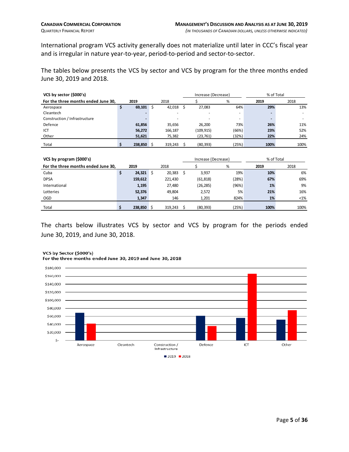International program VCS activity generally does not materialize until later in CCC's fiscal year and is irregular in nature year-to-year, period-to-period and sector-to-sector.

The tables below presents the VCS by sector and VCS by program for the three months ended June 30, 2019 and 2018.

| VCS by sector (\$000's)             |    |              |    |         |    | Increase (Decrease) |                     |      | % of Total |  |  |
|-------------------------------------|----|--------------|----|---------|----|---------------------|---------------------|------|------------|--|--|
| For the three months ended June 30, |    | 2019         |    | 2018    |    |                     | %                   | 2019 | 2018       |  |  |
| Aerospace                           | \$ | 69,101       | Ŝ. | 42,018  | Ŝ. | 27,083              | 64%                 | 29%  | 13%        |  |  |
| Cleantech                           |    |              |    |         |    |                     |                     |      |            |  |  |
| Construction / Infrastructure       |    |              |    |         |    |                     |                     |      |            |  |  |
| Defence                             |    | 61,856       |    | 35,656  |    | 26,200              | 73%                 | 26%  | 11%        |  |  |
| ICT                                 |    | 56,272       |    | 166,187 |    | (109, 915)          | (66%)               | 23%  | 52%        |  |  |
| Other                               |    | 51,621       |    | 75,382  |    | (23, 761)           | (32%)               | 22%  | 24%        |  |  |
| Total                               | \$ | $238,850$ \$ |    | 319,243 | -S | (80, 393)           | (25%)               | 100% | 100%       |  |  |
|                                     |    |              |    |         |    |                     |                     |      |            |  |  |
| VCS by program (\$000's)            |    |              |    |         |    |                     | Increase (Decrease) |      | % of Total |  |  |
| For the three months ended June 30, |    | 2019         |    | 2018    |    |                     | %                   | 2019 | 2018       |  |  |
| Cuba                                | \$ | 24,321       | \$ | 20,383  | \$ | 3,937               | 19%                 | 10%  | 6%         |  |  |
| <b>DPSA</b>                         |    | 159,612      |    | 221,430 |    | (61, 818)           | (28%)               | 67%  | 69%        |  |  |
| International                       |    | 1,195        |    | 27,480  |    | (26, 285)           | (96%)               | 1%   | 9%         |  |  |
| Lotteries                           |    | 52,376       |    | 49,804  |    | 2,572               | 5%                  | 21%  | 16%        |  |  |

The charts below illustrates VCS by sector and VCS by program for the periods ended June 30, 2019, and June 30, 2018.

OGD **1,347** 146 1,201 824% **1%** <1% Total **\$ 238,850** \$ 319,243 \$ (80,393) (25%) **100%** 100%



#### VCS by Sector (\$000's)

For the three months ended June 30, 2019 and June 30, 2018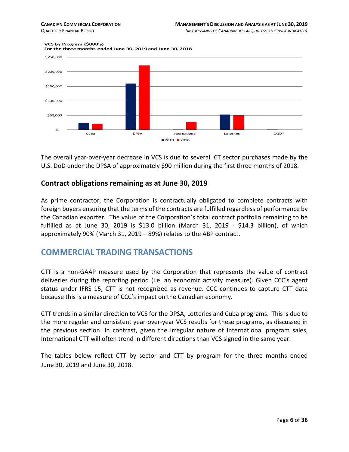#### VCS by Program (\$000's)





The overall year-over-year decrease in VCS is due to several ICT sector purchases made by the U.S. DoD under the DPSA of approximately \$90 million during the first three months of 2018.

#### **Contract obligations remaining as at June 30, 2019**

As prime contractor, the Corporation is contractually obligated to complete contracts with foreign buyers ensuring that the terms of the contracts are fulfilled regardless of performance by the Canadian exporter. The value of the Corporation's total contract portfolio remaining to be fulfilled as at June 30, 2019 is \$13.0 billion (March 31, 2019 - \$14.3 billion), of which approximately 90% (March 31, 2019 – 89%) relates to the ABP contract.

#### <span id="page-5-0"></span>**COMMERCIAL TRADING TRANSACTIONS**

CTT is a non-GAAP measure used by the Corporation that represents the value of contract deliveries during the reporting period (i.e. an economic activity measure). Given CCC's agent status under IFRS 15, CTT is not recognized as revenue. CCC continues to capture CTT data because this is a measure of CCC's impact on the Canadian economy.

CTT trends in a similar direction to VCS for the DPSA, Lotteries and Cuba programs. This is due to the more regular and consistent year-over-year VCS results for these programs, as discussed in the previous section. In contrast, given the irregular nature of International program sales, International CTT will often trend in different directions than VCS signed in the same year.

The tables below reflect CTT by sector and CTT by program for the three months ended June 30, 2019 and June 30, 2018.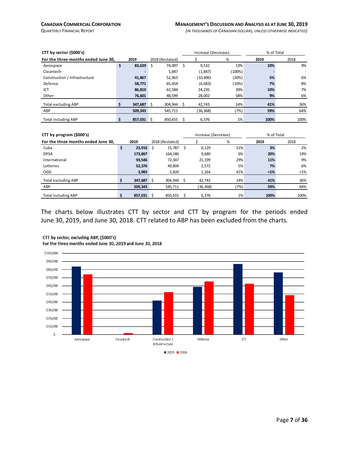| CTT by sector (\$000's)             |    |         |   |                 |     | Increase (Decrease) |        | % of Total |      |  |
|-------------------------------------|----|---------|---|-----------------|-----|---------------------|--------|------------|------|--|
| For the three months ended June 30, |    | 2019    |   | 2018 (Restated) |     |                     | $\%$   | 2019       | 2018 |  |
| Aerospace                           | \$ | 83,629  | Ŝ | 74,097          | \$. | 9,532               | 13%    | 10%        | 9%   |  |
| Cleantech                           |    |         |   | 1,847           |     | (1,847)             | (100%) |            |      |  |
| Construction / Infrastructure       |    | 41,867  |   | 52,363          |     | (10,496)            | (20%)  | 5%         | 6%   |  |
| Defence                             |    | 58,771  |   | 65,454          |     | (6,683)             | (10%)  | 7%         | 8%   |  |
| ICT                                 |    | 86,819  |   | 62.584          |     | 24,235              | 39%    | 10%        | 7%   |  |
| Other                               |    | 76,601  |   | 48,599          |     | 28,002              | 58%    | 9%         | 6%   |  |
| <b>Total excluding ABP</b>          |    | 347,687 |   | 304.944         |     | 42.743              | 14%    | 41%        | 36%  |  |
| ABP                                 |    | 509,343 |   | 545,711         |     | (36, 368)           | (7%)   | 59%        | 64%  |  |
| <b>Total including ABP</b>          |    | 857,031 | Ŝ | 850,655         |     | 6.376               | 1%     | 100%       | 100% |  |

| CTT by program (\$000's)            |    |         |   |                 | Increase (Decrease) |           |      | % of Total |         |  |
|-------------------------------------|----|---------|---|-----------------|---------------------|-----------|------|------------|---------|--|
| For the three months ended June 30, |    | 2019    |   | 2018 (Restated) |                     |           | %    | 2019       | 2018    |  |
| Cuba                                | \$ | 23,916  | Ś | 15,787          | Ŝ                   | 8,129     | 51%  | 3%         | 2%      |  |
| <b>DPSA</b>                         |    | 173,867 |   | 164,186         |                     | 9,680     | 6%   | 20%        | 19%     |  |
| International                       |    | 93,546  |   | 72,347          |                     | 21,199    | 29%  | 11%        | 9%      |  |
| Lotteries                           |    | 52,376  |   | 49,804          |                     | 2.572     | 5%   | 7%         | 6%      |  |
| <b>OGD</b>                          |    | 3,983   |   | 2,820           |                     | 1.164     | 41%  | $1%$       | $< 1\%$ |  |
| <b>Total excluding ABP</b>          |    | 347,687 | Ś | 304,944         |                     | 42,743    | 14%  | 41%        | 36%     |  |
| ABP                                 |    | 509,343 |   | 545,711         |                     | (36, 368) | (7%) | 59%        | 64%     |  |
| <b>Total including ABP</b>          | Ś  | 857,031 |   | 850.655         |                     | 6,376     | 1%   | 100%       | 100%    |  |

The charts below illustrates CTT by sector and CTT by program for the periods ended June 30, 2019, and June 30, 2018. CTT related to ABP has been excluded from the charts.



#### CTT by sector, excluding ABP, (\$000's)

For the three months ended June 30, 2019 and June 30, 2018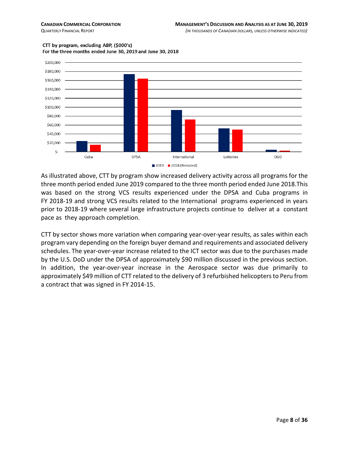

#### CTT by program, excluding ABP, (\$000's) For the three months ended June 30, 2019 and June 30, 2018

2019 2018 (Restated)

As illustrated above, CTT by program show increased delivery activity across all programs for the three month period ended June 2019 compared to the three month period ended June 2018.This was based on the strong VCS results experienced under the DPSA and Cuba programs in FY 2018-19 and strong VCS results related to the International programs experienced in years prior to 2018-19 where several large infrastructure projects continue to deliver at a constant pace as they approach completion.

CTT by sector shows more variation when comparing year-over-year results, as sales within each program vary depending on the foreign buyer demand and requirements and associated delivery schedules. The year-over-year increase related to the ICT sector was due to the purchases made by the U.S. DoD under the DPSA of approximately \$90 million discussed in the previous section. In addition, the year-over-year increase in the Aerospace sector was due primarily to approximately \$49 million of CTT related to the delivery of 3 refurbished helicopters to Peru from a contract that was signed in FY 2014-15.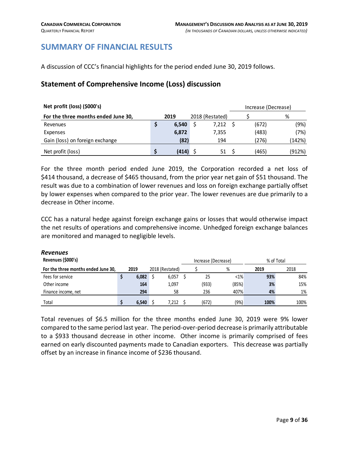#### <span id="page-8-0"></span>**SUMMARY OF FINANCIAL RESULTS**

A discussion of CCC's financial highlights for the period ended June 30, 2019 follows.

#### **Statement of Comprehensive Income (Loss) discussion**

| Net profit (loss) (\$000's)         |       |                 | Increase (Decrease) |        |  |  |
|-------------------------------------|-------|-----------------|---------------------|--------|--|--|
| For the three months ended June 30, | 2019  | 2018 (Restated) |                     | %      |  |  |
| Revenues                            | 6,540 | 7,212           | (672)               | (9%)   |  |  |
| Expenses                            | 6,872 | 7.355           | (483)               | (7%)   |  |  |
| Gain (loss) on foreign exchange     | (82)  | 194             | (276)               | (142%) |  |  |
| Net profit (loss)                   | (414) | 51              | (465)               | (912%) |  |  |

For the three month period ended June 2019, the Corporation recorded a net loss of \$414 thousand, a decrease of \$465 thousand, from the prior year net gain of \$51 thousand. The result was due to a combination of lower revenues and loss on foreign exchange partially offset by lower expenses when compared to the prior year. The lower revenues are due primarily to a decrease in Other income.

CCC has a natural hedge against foreign exchange gains or losses that would otherwise impact the net results of operations and comprehensive income. Unhedged foreign exchange balances are monitored and managed to negligible levels.

| <b>Revenues</b><br>Revenues (\$000's) |       |                 | Increase (Decrease) |       | % of Total |      |
|---------------------------------------|-------|-----------------|---------------------|-------|------------|------|
| For the three months ended June 30,   | 2019  | 2018 (Restated) |                     | %     | 2019       | 2018 |
| Fees for service                      | 6,082 | 6,057           | 25                  | <1%   | 93%        | 84%  |
| Other income                          | 164   | 1,097           | (933)               | (85%) | 3%         | 15%  |
| Finance income, net                   | 294   | 58              | 236                 | 407%  | 4%         | 1%   |
| Total                                 | 6.540 | 7.212           | (672)               | (9%)  | 100%       | 100% |

Total revenues of \$6.5 million for the three months ended June 30, 2019 were 9% lower compared to the same period last year. The period-over-period decrease is primarily attributable to a \$933 thousand decrease in other income. Other income is primarily comprised of fees earned on early discounted payments made to Canadian exporters. This decrease was partially offset by an increase in finance income of \$236 thousand.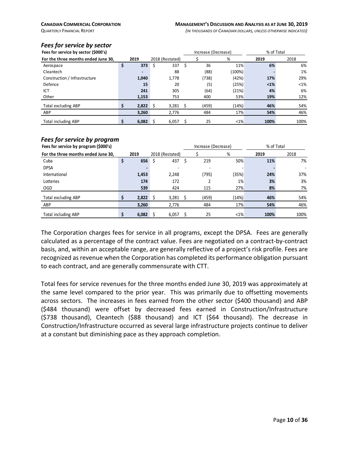#### *Fees for service by sector*

| Fees for service by sector (\$000's) |                |     |                 |    | Increase (Decrease) |         | % of Total |         |
|--------------------------------------|----------------|-----|-----------------|----|---------------------|---------|------------|---------|
| For the three months ended June 30.  | 2019           |     | 2018 (Restated) |    |                     | %       | 2019       | 2018    |
| Aerospace                            | \$<br>373      | \$  | 337             | Ŝ. | 36                  | 11%     | 6%         | 6%      |
| Cleantech                            | $\blacksquare$ |     | 88              |    | (88)                | (100%)  |            | 1%      |
| Construction / Infrastructure        | 1,040          |     | 1,778           |    | (738)               | (42%)   | 17%        | 29%     |
| Defence                              | 15             |     | 20              |    | (5)                 | (25%)   | $1%$       | $< 1\%$ |
| ICT                                  | 241            |     | 305             |    | (64)                | (21%)   | 4%         | 6%      |
| Other                                | 1,153          |     | 753             |    | 400                 | 53%     | 19%        | 12%     |
| <b>Total excluding ABP</b>           | 2.822          | - Ś | 3.281           |    | (459)               | (14%)   | 46%        | 54%     |
| ABP                                  | 3,260          |     | 2,776           |    | 484                 | 17%     | 54%        | 46%     |
| <b>Total including ABP</b>           | \$<br>6.082    | -Ŝ  | 6,057           | Ś  | 25                  | $< 1\%$ | 100%       | 100%    |

#### *Fees for service by program*

| Fees for service by program (\$000's) |      |       |                          | % of Total<br>Increase (Decrease) |       |         |      |      |  |
|---------------------------------------|------|-------|--------------------------|-----------------------------------|-------|---------|------|------|--|
| For the three months ended June 30,   | 2019 |       | 2018 (Restated)          |                                   |       | %       | 2019 | 2018 |  |
| Cuba                                  |      | 656   | 437<br>S                 | S                                 | 219   | 50%     | 11%  | 7%   |  |
| <b>DPSA</b>                           |      |       | $\overline{\phantom{a}}$ |                                   |       |         |      |      |  |
| International                         |      | 1,453 | 2,248                    |                                   | (795) | (35%)   | 24%  | 37%  |  |
| Lotteries                             |      | 174   | 172                      |                                   |       | 1%      | 3%   | 3%   |  |
| OGD                                   |      | 539   | 424                      |                                   | 115   | 27%     | 8%   | 7%   |  |
| Total excluding ABP                   |      | 2,822 | 3,281<br>-\$             | S                                 | (459) | (14%)   | 46%  | 54%  |  |
| ABP                                   |      | 3,260 | 2,776                    |                                   | 484   | 17%     | 54%  | 46%  |  |
| Total including ABP                   |      | 6,082 | 6,057                    |                                   | 25    | $< 1\%$ | 100% | 100% |  |

The Corporation charges fees for service in all programs, except the DPSA. Fees are generally calculated as a percentage of the contract value. Fees are negotiated on a contract-by-contract basis, and, within an acceptable range, are generally reflective of a project's risk profile. Fees are recognized as revenue when the Corporation has completed its performance obligation pursuant to each contract, and are generally commensurate with CTT.

Total fees for service revenues for the three months ended June 30, 2019 was approximately at the same level compared to the prior year. This was primarily due to offsetting movements across sectors. The increases in fees earned from the other sector (\$400 thousand) and ABP (\$484 thousand) were offset by decreased fees earned in Construction/Infrastructure (\$738 thousand), Cleantech (\$88 thousand) and ICT (\$64 thousand). The decrease in Construction/Infrastructure occurred as several large infrastructure projects continue to deliver at a constant but diminishing pace as they approach completion.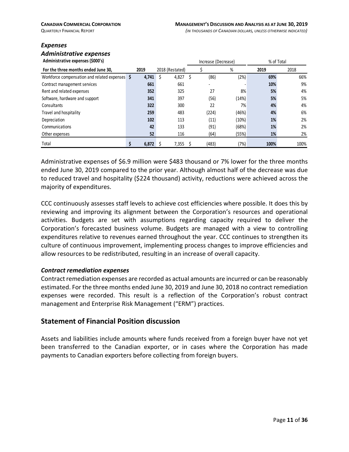#### *Expenses*

### *Administrative expenses*

| Administrative expenses (\$000's)                   |                         |             |      |       | Increase (Decrease) |      | % of Total |  |
|-----------------------------------------------------|-------------------------|-------------|------|-------|---------------------|------|------------|--|
| For the three months ended June 30,                 | 2019<br>2018 (Restated) |             |      |       | %                   | 2019 | 2018       |  |
| Workforce compensation and related expenses $\oint$ | 4,741                   | 4,827<br>\$ | - \$ | (86)  | (2%)                | 69%  | 66%        |  |
| Contract management services                        | 661                     | 661         |      |       |                     | 10%  | 9%         |  |
| Rent and related expenses                           | 352                     | 325         |      | 27    | 8%                  | 5%   | 4%         |  |
| Software, hardware and support                      | 341                     | 397         |      | (56)  | (14%)               | 5%   | 5%         |  |
| Consultants                                         | 322                     | 300         |      | 22    | 7%                  | 4%   | 4%         |  |
| Travel and hospitality                              | 259                     | 483         |      | (224) | (46%)               | 4%   | 6%         |  |
| Depreciation                                        | 102                     | 113         |      | (11)  | (10%)               | 1%   | 2%         |  |
| Communications                                      | 42                      | 133         |      | (91)  | (68%)               | 1%   | 2%         |  |
| Other expenses                                      | 52                      | 116         |      | (64)  | (55%)               | 1%   | 2%         |  |
| Total                                               | 6,872                   | 7,355       |      | (483) | (7%)                | 100% | 100%       |  |

Administrative expenses of \$6.9 million were \$483 thousand or 7% lower for the three months ended June 30, 2019 compared to the prior year. Although almost half of the decrease was due to reduced travel and hospitality (\$224 thousand) activity, reductions were achieved across the majority of expenditures.

CCC continuously assesses staff levels to achieve cost efficiencies where possible. It does this by reviewing and improving its alignment between the Corporation's resources and operational activities. Budgets are set with assumptions regarding capacity required to deliver the Corporation's forecasted business volume. Budgets are managed with a view to controlling expenditures relative to revenues earned throughout the year. CCC continues to strengthen its culture of continuous improvement, implementing process changes to improve efficiencies and allow resources to be redistributed, resulting in an increase of overall capacity.

#### *Contract remediation expenses*

Contract remediation expenses are recorded as actual amounts are incurred or can be reasonably estimated. For the three months ended June 30, 2019 and June 30, 2018 no contract remediation expenses were recorded. This result is a reflection of the Corporation's robust contract management and Enterprise Risk Management ("ERM") practices.

#### **Statement of Financial Position discussion**

Assets and liabilities include amounts where funds received from a foreign buyer have not yet been transferred to the Canadian exporter, or in cases where the Corporation has made payments to Canadian exporters before collecting from foreign buyers.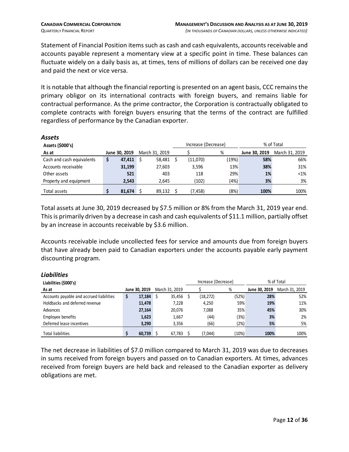Statement of Financial Position items such as cash and cash equivalents, accounts receivable and accounts payable represent a momentary view at a specific point in time. These balances can fluctuate widely on a daily basis as, at times, tens of millions of dollars can be received one day and paid the next or vice versa.

It is notable that although the financial reporting is presented on an agent basis, CCC remains the primary obligor on its international contracts with foreign buyers, and remains liable for contractual performance. As the prime contractor, the Corporation is contractually obligated to complete contracts with foreign buyers ensuring that the terms of the contract are fulfilled regardless of performance by the Canadian exporter.

| лээс ы                    |               |                |        |                     |      |               |                |  |
|---------------------------|---------------|----------------|--------|---------------------|------|---------------|----------------|--|
| Assets (\$000's)          |               |                |        | Increase (Decrease) |      | % of Total    |                |  |
| As at                     | June 30, 2019 | March 31, 2019 |        |                     | %    | June 30, 2019 | March 31, 2019 |  |
| Cash and cash equivalents | \$<br>47,411  |                | 58.481 | (11,070)            | (19% | 58%           | 66%            |  |
| Accounts receivable       | 31,199        |                | 27,603 | 3,596               | 13%  | 38%           | 31%            |  |
| Other assets              | 521           |                | 403    | 118                 | 29%  | 1%            | $< 1\%$        |  |
| Property and equipment    | 2.543         |                | 2.645  | (102)               | (4%) | 3%            | 3%             |  |
| Total assets              | 81,674        |                | 89.132 | (7,458)             | (8%) | 100%          | 100%           |  |

Total assets at June 30, 2019 decreased by \$7.5 million or 8% from the March 31, 2019 year end. This is primarily driven by a decrease in cash and cash equivalents of \$11.1 million, partially offset by an increase in accounts receivable by \$3.6 million.

Accounts receivable include uncollected fees for service and amounts due from foreign buyers that have already been paid to Canadian exporters under the accounts payable early payment discounting program.

| LIUMIILILJ                               |               |                |                     |       |               |                |  |
|------------------------------------------|---------------|----------------|---------------------|-------|---------------|----------------|--|
| Liabilities (\$000's)                    |               |                | Increase (Decrease) |       | % of Total    |                |  |
| As at                                    | June 30, 2019 | March 31, 2019 |                     | %     | June 30, 2019 | March 31, 2019 |  |
| Accounts payable and accrued liabilities | \$<br>17,184  | 35.456<br>- S  | (18, 272)           | (52%) | 28%           | 52%            |  |
| Holdbacks and deferred revenue           | 11,478        | 7,228          | 4,250               | 59%   | 19%           | 11%            |  |
| Advances                                 | 27,164        | 20,076         | 7.088               | 35%   | 45%           | 30%            |  |
| Employee benefits                        | 1,623         | 1,667          | (44)                | (3%)  | 3%            | 2%             |  |
| Deferred lease incentives                | 3.290         | 3,356          | (66)                | (2%)  | 5%            | 5%             |  |
| <b>Total liabilities</b>                 | 60,739        | 67.783         | (7,044)             | (10%) | 100%          | 100%           |  |

#### *Liabilities*

*Assets*

The net decrease in liabilities of \$7.0 million compared to March 31, 2019 was due to decreases in sums received from foreign buyers and passed on to Canadian exporters. At times, advances received from foreign buyers are held back and released to the Canadian exporter as delivery obligations are met.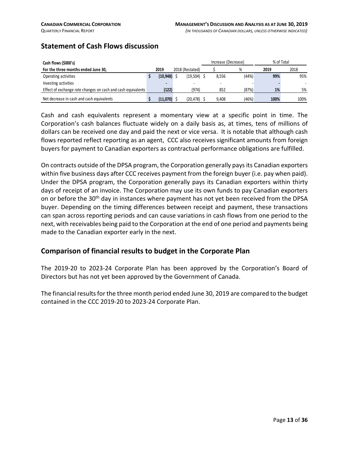#### **Statement of Cash Flows discussion**

| Cash flows (\$000's)                                         |           |                 |                | Increase (Decrease) |   |       | % of Total |      |  |  |
|--------------------------------------------------------------|-----------|-----------------|----------------|---------------------|---|-------|------------|------|--|--|
| For the three months ended June 30,                          | 2019      | 2018 (Restated) |                |                     | % |       | 2019       | 2018 |  |  |
| Operating activities                                         | (10, 948) |                 | $(19.504)$ \$  | 8.556               |   | (44%) | 99%        | 95%  |  |  |
| Investing activities                                         | -         |                 |                |                     |   |       |            |      |  |  |
| Effect of exchange rate changes on cash and cash equivalents | (122)     |                 | (974)          | 852                 |   | (87%) | 1%         | 5%   |  |  |
| Net decrease in cash and cash equivalents                    | (11,070)  |                 | $(20, 478)$ \$ | 9.408               |   | (46%) | 100%       | 100% |  |  |

Cash and cash equivalents represent a momentary view at a specific point in time. The Corporation's cash balances fluctuate widely on a daily basis as, at times, tens of millions of dollars can be received one day and paid the next or vice versa. It is notable that although cash flows reported reflect reporting as an agent, CCC also receives significant amounts from foreign buyers for payment to Canadian exporters as contractual performance obligations are fulfilled.

On contracts outside of the DPSA program, the Corporation generally pays its Canadian exporters within five business days after CCC receives payment from the foreign buyer (i.e. pay when paid). Under the DPSA program, the Corporation generally pays its Canadian exporters within thirty days of receipt of an invoice. The Corporation may use its own funds to pay Canadian exporters on or before the 30<sup>th</sup> day in instances where payment has not yet been received from the DPSA buyer. Depending on the timing differences between receipt and payment, these transactions can span across reporting periods and can cause variations in cash flows from one period to the next, with receivables being paid to the Corporation at the end of one period and payments being made to the Canadian exporter early in the next.

#### **Comparison of financial results to budget in the Corporate Plan**

The 2019-20 to 2023-24 Corporate Plan has been approved by the Corporation's Board of Directors but has not yet been approved by the Government of Canada.

The financial results for the three month period ended June 30, 2019 are compared to the budget contained in the CCC 2019-20 to 2023-24 Corporate Plan.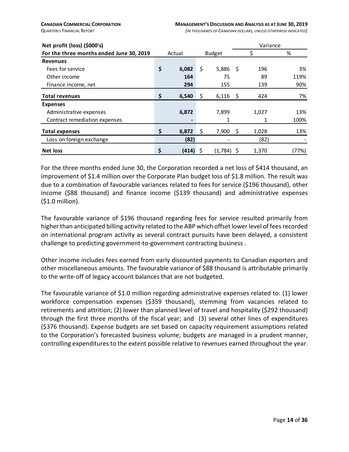| Net profit (loss) (\$000's)              |             |    |               |      | Variance |       |
|------------------------------------------|-------------|----|---------------|------|----------|-------|
| For the three months ended June 30, 2019 | Actual      |    | <b>Budget</b> |      |          | %     |
| <b>Revenues</b>                          |             |    |               |      |          |       |
| Fees for service                         | \$<br>6,082 | \$ | 5,886         | - \$ | 196      | 3%    |
| Other income                             | 164         |    | 75            |      | 89       | 119%  |
| Finance income, net                      | 294         |    | 155           |      | 139      | 90%   |
| <b>Total revenues</b>                    | \$<br>6,540 | Ş  | $6,116$ \$    |      | 424      | 7%    |
| <b>Expenses</b>                          |             |    |               |      |          |       |
| Administrative expenses                  | 6,872       |    | 7,899         |      | 1,027    | 13%   |
| Contract remediation expenses            |             |    | 1             |      |          | 100%  |
| <b>Total expenses</b>                    | \$<br>6,872 |    | 7,900         | -S   | 1,028    | 13%   |
| Loss on foreign exchange                 | (82)        |    |               |      | (82)     |       |
| <b>Net loss</b>                          | (414) \$    |    | $(1,784)$ \$  |      | 1,370    | (77%) |

For the three months ended June 30, the Corporation recorded a net loss of \$414 thousand, an improvement of \$1.4 million over the Corporate Plan budget loss of \$1.8 million. The result was due to a combination of favourable variances related to fees for service (\$196 thousand), other income (\$88 thousand) and finance income (\$139 thousand) and administrative expenses (\$1.0 million).

The favourable variance of \$196 thousand regarding fees for service resulted primarily from higher than anticipated billing activity related to the ABP which offset lower level of fees recorded on international program activity as several contract pursuits have been delayed, a consistent challenge to predicting government-to-government contracting business .

Other income includes fees earned from early discounted payments to Canadian exporters and other miscellaneous amounts. The favourable variance of \$88 thousand is attributable primarily to the write-off of legacy account balances that are not budgeted.

The favourable variance of \$1.0 million regarding administrative expenses related to: (1) lower workforce compensation expenses (\$359 thousand), stemming from vacancies related to retirements and attrition; (2) lower than planned level of travel and hospitality (\$292 thousand) through the first three months of the fiscal year; and (3) several other lines of expenditures (\$376 thousand). Expense budgets are set based on capacity requirement assumptions related to the Corporation's forecasted business volume; budgets are managed in a prudent manner, controlling expenditures to the extent possible relative to revenues earned throughout the year.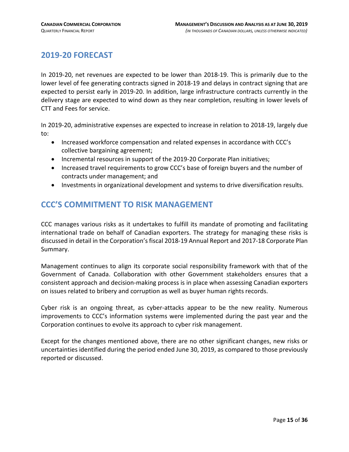### <span id="page-14-0"></span>**2019-20 FORECAST**

In 2019-20, net revenues are expected to be lower than 2018-19. This is primarily due to the lower level of fee generating contracts signed in 2018-19 and delays in contract signing that are expected to persist early in 2019-20. In addition, large infrastructure contracts currently in the delivery stage are expected to wind down as they near completion, resulting in lower levels of CTT and Fees for service.

In 2019-20, administrative expenses are expected to increase in relation to 2018-19, largely due to:

- Increased workforce compensation and related expenses in accordance with CCC's collective bargaining agreement;
- Incremental resources in support of the 2019-20 Corporate Plan initiatives;
- Increased travel requirements to grow CCC's base of foreign buyers and the number of contracts under management; and
- Investments in organizational development and systems to drive diversification results.

### <span id="page-14-1"></span>**CCC'S COMMITMENT TO RISK MANAGEMENT**

CCC manages various risks as it undertakes to fulfill its mandate of promoting and facilitating international trade on behalf of Canadian exporters. The strategy for managing these risks is discussed in detail in the Corporation's fiscal 2018-19 Annual Report and 2017-18 Corporate Plan Summary.

Management continues to align its corporate social responsibility framework with that of the Government of Canada. Collaboration with other Government stakeholders ensures that a consistent approach and decision-making process is in place when assessing Canadian exporters on issues related to bribery and corruption as well as buyer human rights records.

Cyber risk is an ongoing threat, as cyber-attacks appear to be the new reality. Numerous improvements to CCC's information systems were implemented during the past year and the Corporation continues to evolve its approach to cyber risk management.

Except for the changes mentioned above, there are no other significant changes, new risks or uncertainties identified during the period ended June 30, 2019, as compared to those previously reported or discussed.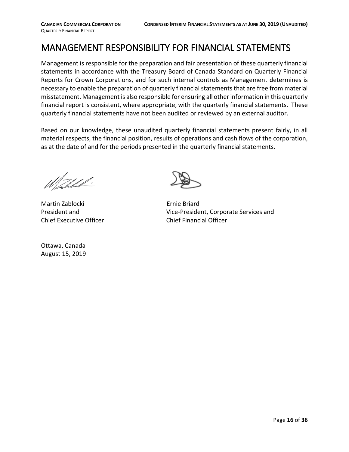# <span id="page-15-0"></span>MANAGEMENT RESPONSIBILITY FOR FINANCIAL STATEMENTS

Management is responsible for the preparation and fair presentation of these quarterly financial statements in accordance with the Treasury Board of Canada Standard on Quarterly Financial Reports for Crown Corporations, and for such internal controls as Management determines is necessary to enable the preparation of quarterly financial statements that are free from material misstatement. Management is also responsible for ensuring all other information in this quarterly financial report is consistent, where appropriate, with the quarterly financial statements. These quarterly financial statements have not been audited or reviewed by an external auditor.

Based on our knowledge, these unaudited quarterly financial statements present fairly, in all material respects, the financial position, results of operations and cash flows of the corporation, as at the date of and for the periods presented in the quarterly financial statements.

Waldel.

Martin Zablocki **Ernie Briard** Chief Executive Officer Chief Financial Officer

Ottawa, Canada August 15, 2019

President and Vice-President, Corporate Services and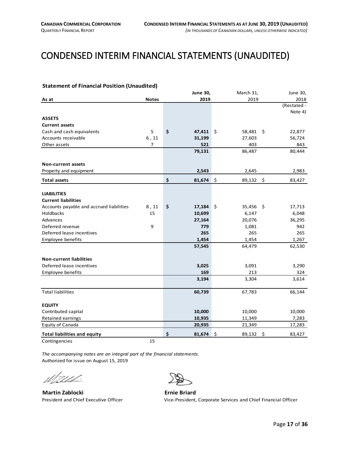# <span id="page-16-0"></span>CONDENSED INTERIM FINANCIAL STATEMENTS (UNAUDITED)

#### <span id="page-16-1"></span>**Statement of Financial Position (Unaudited)**

|                                          |                | <b>June 30,</b> | March 31,     | June 30,       |
|------------------------------------------|----------------|-----------------|---------------|----------------|
| As at                                    | <b>Notes</b>   | 2019            | 2019          | 2018           |
|                                          |                |                 |               | (Restated -    |
|                                          |                |                 |               | Note 4)        |
| <b>ASSETS</b>                            |                |                 |               |                |
| <b>Current assets</b>                    |                |                 |               |                |
| Cash and cash equivalents                | 5              | \$<br>47,411    | ∣\$<br>58,481 | 22,877<br>- \$ |
| Accounts receivable                      | $6$ , 11       | 31,199          | 27,603        | 56,724         |
| Other assets                             | $\overline{7}$ | 521             | 403           | 843            |
|                                          |                | 79,131          | 86,487        | 80,444         |
|                                          |                |                 |               |                |
| <b>Non-current assets</b>                |                |                 |               |                |
| Property and equipment                   |                | 2,543           | 2,645         | 2,983          |
| <b>Total assets</b>                      |                | \$<br>81,674    | \$<br>89,132  | \$<br>83,427   |
|                                          |                |                 |               |                |
| <b>LIABILITIES</b>                       |                |                 |               |                |
| <b>Current liabilities</b>               |                |                 |               |                |
| Accounts payable and accrued liabilities | 8,11           | \$<br>17,184    | \$<br>35,456  | \$<br>17,713   |
| Holdbacks                                | 15             | 10,699          | 6,147         | 6,048          |
| Advances                                 |                | 27,164          | 20,076        | 36,295         |
| Deferred revenue                         | 9              | 779             | 1,081         | 942            |
| Deferred lease incentives                |                | 265             | 265           | 265            |
| Employee benefits                        |                | 1,454           | 1,454         | 1,267          |
|                                          |                | 57,545          | 64,479        | 62,530         |
| <b>Non-current liabilities</b>           |                |                 |               |                |
| Deferred lease incentives                |                | 3,025           | 3,091         | 3,290          |
| Employee benefits                        |                | 169             | 213           | 324            |
|                                          |                | 3,194           | 3,304         | 3,614          |
| <b>Total liabilities</b>                 |                | 60,739          | 67,783        | 66,144         |
|                                          |                |                 |               |                |
| <b>EQUITY</b>                            |                |                 |               |                |
| Contributed capital                      |                | 10,000          | 10,000        | 10,000         |
| Retained earnings                        |                | 10,935          | 11,349        | 7,283          |
| Equity of Canada                         |                | 20,935          | 21,349        | 17,283         |
| <b>Total liabilities and equity</b>      |                | \$<br>81,674    | \$<br>89,132  | \$<br>83,427   |
| Contingencies                            | 15             |                 |               |                |

*The accompanying notes are an integral part of the financial statements.* Authorized for issue on August 15, 2019

Wahled.

**Martin Zablocki**<br>**President and Chief Executive Officer Executive Officer Executive Officer Executive Officer** 



Vice-President, Corporate Services and Chief Financial Officer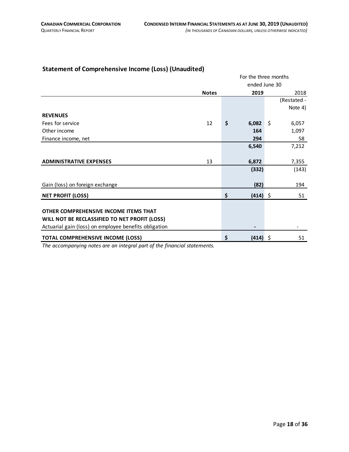#### <span id="page-17-0"></span>**Statement of Comprehensive Income (Loss) (Unaudited)**

|                                                       |              |    | For the three months |    |             |
|-------------------------------------------------------|--------------|----|----------------------|----|-------------|
|                                                       |              |    | ended June 30        |    |             |
|                                                       | <b>Notes</b> |    | 2019                 |    | 2018        |
|                                                       |              |    |                      |    | (Restated - |
|                                                       |              |    |                      |    | Note 4)     |
| <b>REVENUES</b>                                       |              |    |                      |    |             |
| Fees for service                                      | 12           | \$ | 6,082                | Ŝ. | 6,057       |
| Other income                                          |              |    | 164                  |    | 1,097       |
| Finance income, net                                   |              |    | 294                  |    | 58          |
|                                                       |              |    | 6,540                |    | 7,212       |
|                                                       |              |    |                      |    |             |
| <b>ADMINISTRATIVE EXPENSES</b>                        | 13           |    | 6,872                |    | 7,355       |
|                                                       |              |    | (332)                |    | (143)       |
|                                                       |              |    |                      |    |             |
| Gain (loss) on foreign exchange                       |              |    | (82)                 |    | 194         |
| <b>NET PROFIT (LOSS)</b>                              |              | \$ | $(414)$ \$           |    | 51          |
|                                                       |              |    |                      |    |             |
| OTHER COMPREHENSIVE INCOME ITEMS THAT                 |              |    |                      |    |             |
| WILL NOT BE RECLASSIFIED TO NET PROFIT (LOSS)         |              |    |                      |    |             |
| Actuarial gain (loss) on employee benefits obligation |              |    | ٠                    |    |             |
| <b>TOTAL COMPREHENSIVE INCOME (LOSS)</b>              |              | Ś  | $(414)$ \$           |    | 51          |

*The accompanying notes are an integral part of the financial statements.*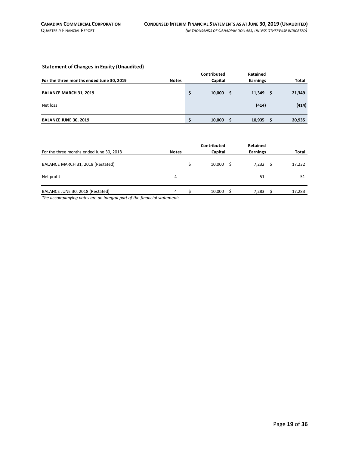#### <span id="page-18-0"></span>**Statement of Changes in Equity (Unaudited)**

|                                          |              | Contributed  | <b>Retained</b> |   |              |
|------------------------------------------|--------------|--------------|-----------------|---|--------------|
| For the three months ended June 30, 2019 | <b>Notes</b> | Capital      | <b>Earnings</b> |   | <b>Total</b> |
| <b>BALANCE MARCH 31, 2019</b>            |              | 10,000<br>\$ | 11,349          | S | 21,349       |
| Net loss                                 |              |              | (414)           |   | (414)        |
| <b>BALANCE JUNE 30, 2019</b>             |              | 10,000       | 10,935          |   | 20,935       |

| For the three months ended June 30, 2018                                                                                                            | <b>Notes</b> | Contributed<br>Capital | <b>Retained</b><br><b>Earnings</b> |   | Total  |
|-----------------------------------------------------------------------------------------------------------------------------------------------------|--------------|------------------------|------------------------------------|---|--------|
| BALANCE MARCH 31, 2018 (Restated)                                                                                                                   |              | 10,000                 | 7,232                              | Ŝ | 17,232 |
| Net profit                                                                                                                                          | 4            |                        | 51                                 |   | 51     |
| BALANCE JUNE 30, 2018 (Restated)<br>the contract of the contract of the contract of the contract of the contract of the contract of the contract of | 4            | 10,000                 | 7,283                              |   | 17,283 |

*The accompanying notes are an integral part of the financial statements.*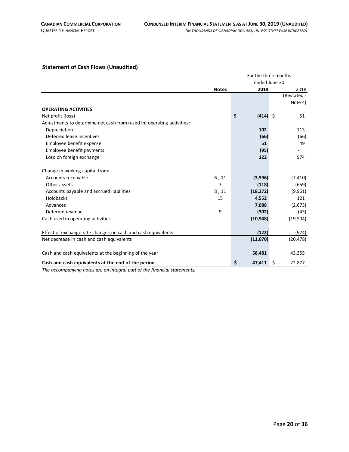#### <span id="page-19-0"></span>**Statement of Cash Flows (Unaudited)**

|                                                                        | For the three months |                  |              |  |  |  |
|------------------------------------------------------------------------|----------------------|------------------|--------------|--|--|--|
|                                                                        |                      | ended June 30    |              |  |  |  |
|                                                                        | <b>Notes</b>         | 2019             | 2018         |  |  |  |
|                                                                        |                      |                  | (Restated -  |  |  |  |
|                                                                        |                      |                  | Note 4)      |  |  |  |
| <b>OPERATING ACTIVITIES</b>                                            |                      |                  |              |  |  |  |
| Net profit (loss)                                                      |                      | \$<br>$(414)$ \$ | 51           |  |  |  |
| Adjustments to determine net cash from (used in) operating activities: |                      |                  |              |  |  |  |
| Depreciation                                                           |                      | 102              | 113          |  |  |  |
| Deferred lease incentives                                              |                      | (66)             | (66)         |  |  |  |
| Employee benefit expense                                               |                      | 51               | 49           |  |  |  |
| Employee benefit payments                                              |                      | (95)             |              |  |  |  |
| Loss on foreign exchange                                               |                      | 122              | 974          |  |  |  |
| Change in working capital from:                                        |                      |                  |              |  |  |  |
| Accounts receivable                                                    | 6, 11                | (3,596)          | (7, 410)     |  |  |  |
| Other assets                                                           | 7                    | (118)            | (659)        |  |  |  |
| Accounts payable and accrued liabilities                               | 8,11                 | (18, 272)        | (9,961)      |  |  |  |
| <b>Holdbacks</b>                                                       | 15                   | 4,552            | 121          |  |  |  |
| Advances                                                               |                      | 7,088            | (2,673)      |  |  |  |
| Deferred revenue                                                       | 9                    | (302)            | (43)         |  |  |  |
| Cash used in operating activities                                      |                      | (10, 948)        | (19, 504)    |  |  |  |
|                                                                        |                      |                  |              |  |  |  |
| Effect of exchange rate changes on cash and cash equivalents           |                      | (122)            | (974)        |  |  |  |
| Net decrease in cash and cash equivalents                              |                      | (11,070)         | (20, 478)    |  |  |  |
| Cash and cash equivalents at the beginning of the year                 |                      | 58,481           | 43,355       |  |  |  |
| Cash and cash equivalents at the end of the period                     |                      | \$<br>47,411     | Ŝ.<br>22,877 |  |  |  |

*The accompanying notes are an integral part of the financial statements.*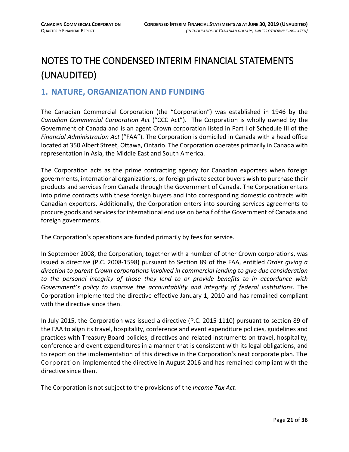# <span id="page-20-0"></span>NOTES TO THE CONDENSED INTERIM FINANCIAL STATEMENTS (UNAUDITED)

#### <span id="page-20-1"></span>**1. NATURE, ORGANIZATION AND FUNDING**

The Canadian Commercial Corporation (the "Corporation") was established in 1946 by the *Canadian Commercial Corporation Act* ("CCC Act"). The Corporation is wholly owned by the Government of Canada and is an agent Crown corporation listed in Part I of Schedule III of the *Financial Administration Act* ("FAA"). The Corporation is domiciled in Canada with a head office located at 350 Albert Street, Ottawa, Ontario. The Corporation operates primarily in Canada with representation in Asia, the Middle East and South America.

The Corporation acts as the prime contracting agency for Canadian exporters when foreign governments, international organizations, or foreign private sector buyers wish to purchase their products and services from Canada through the Government of Canada. The Corporation enters into prime contracts with these foreign buyers and into corresponding domestic contracts with Canadian exporters. Additionally, the Corporation enters into sourcing services agreements to procure goods and services for international end use on behalf of the Government of Canada and foreign governments.

The Corporation's operations are funded primarily by fees for service.

In September 2008, the Corporation, together with a number of other Crown corporations, was issued a directive (P.C. 2008-1598) pursuant to Section 89 of the FAA, entitled *Order giving a direction to parent Crown corporations involved in commercial lending to give due consideration to the personal integrity of those they lend to or provide benefits to in accordance with Government's policy to improve the accountability and integrity of federal institutions*. The Corporation implemented the directive effective January 1, 2010 and has remained compliant with the directive since then.

In July 2015, the Corporation was issued a directive (P.C. 2015-1110) pursuant to section 89 of the FAA to align its travel, hospitality, conference and event expenditure policies, guidelines and practices with Treasury Board policies, directives and related instruments on travel, hospitality, conference and event expenditures in a manner that is consistent with its legal obligations, and to report on the implementation of this directive in the Corporation's next corporate plan. The Corporation implemented the directive in August 2016 and has remained compliant with the directive since then.

The Corporation is not subject to the provisions of the *Income Tax Act*.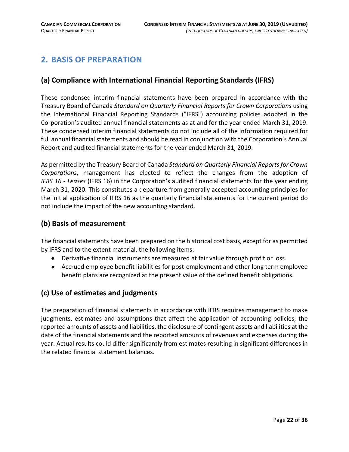### <span id="page-21-0"></span>**2. BASIS OF PREPARATION**

#### **(a) Compliance with International Financial Reporting Standards (IFRS)**

These condensed interim financial statements have been prepared in accordance with the Treasury Board of Canada *Standard on Quarterly Financial Reports for Crown Corporations* using the International Financial Reporting Standards ("IFRS") accounting policies adopted in the Corporation's audited annual financial statements as at and for the year ended March 31, 2019. These condensed interim financial statements do not include all of the information required for full annual financial statements and should be read in conjunction with the Corporation's Annual Report and audited financial statements for the year ended March 31, 2019.

As permitted by the Treasury Board of Canada *Standard on Quarterly Financial Reports for Crown Corporations*, management has elected to reflect the changes from the adoption of *IFRS 16 - Leases* (IFRS 16) in the Corporation's audited financial statements for the year ending March 31, 2020. This constitutes a departure from generally accepted accounting principles for the initial application of IFRS 16 as the quarterly financial statements for the current period do not include the impact of the new accounting standard.

#### **(b) Basis of measurement**

The financial statements have been prepared on the historical cost basis, except for as permitted by IFRS and to the extent material, the following items:

- Derivative financial instruments are measured at fair value through profit or loss.
- Accrued employee benefit liabilities for post-employment and other long term employee benefit plans are recognized at the present value of the defined benefit obligations.

#### **(c) Use of estimates and judgments**

The preparation of financial statements in accordance with IFRS requires management to make judgments, estimates and assumptions that affect the application of accounting policies, the reported amounts of assets and liabilities, the disclosure of contingent assets and liabilities at the date of the financial statements and the reported amounts of revenues and expenses during the year. Actual results could differ significantly from estimates resulting in significant differences in the related financial statement balances.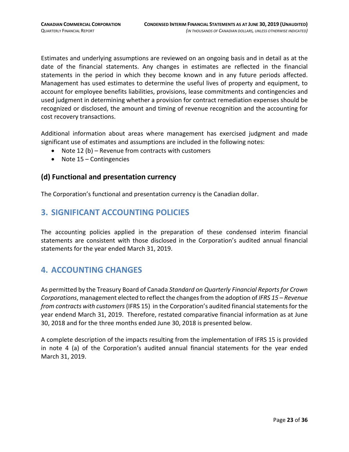Estimates and underlying assumptions are reviewed on an ongoing basis and in detail as at the date of the financial statements. Any changes in estimates are reflected in the financial statements in the period in which they become known and in any future periods affected. Management has used estimates to determine the useful lives of property and equipment, to account for employee benefits liabilities, provisions, lease commitments and contingencies and used judgment in determining whether a provision for contract remediation expenses should be recognized or disclosed, the amount and timing of revenue recognition and the accounting for cost recovery transactions.

Additional information about areas where management has exercised judgment and made significant use of estimates and assumptions are included in the following notes:

- Note 12 (b) Revenue from contracts with customers
- Note 15 Contingencies

#### **(d) Functional and presentation currency**

The Corporation's functional and presentation currency is the Canadian dollar.

#### <span id="page-22-0"></span>**3. SIGNIFICANT ACCOUNTING POLICIES**

The accounting policies applied in the preparation of these condensed interim financial statements are consistent with those disclosed in the Corporation's audited annual financial statements for the year ended March 31, 2019.

#### <span id="page-22-1"></span>**4. ACCOUNTING CHANGES**

As permitted by the Treasury Board of Canada *Standard on Quarterly Financial Reports for Crown Corporations*, management elected to reflect the changes from the adoption of *IFRS 15 – Revenue from contracts with customers*(IFRS 15) in the Corporation's audited financial statements for the year endend March 31, 2019. Therefore, restated comparative financial information as at June 30, 2018 and for the three months ended June 30, 2018 is presented below.

A complete description of the impacts resulting from the implementation of IFRS 15 is provided in note 4 (a) of the Corporation's audited annual financial statements for the year ended March 31, 2019.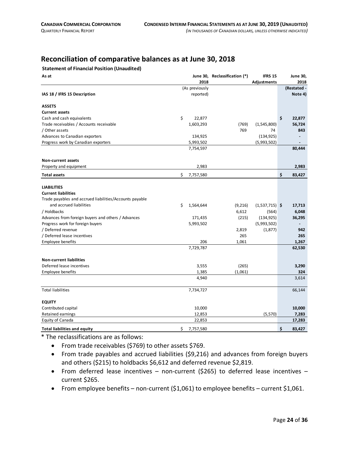#### **Reconciliation of comparative balances as at June 30, 2018**

#### **Statement of Financial Position (Unaudited)**

| As at                                                   | 2018            | June 30, Reclassification (*) | <b>IFRS 15</b><br>Adjustments | <b>June 30,</b><br>2018 |
|---------------------------------------------------------|-----------------|-------------------------------|-------------------------------|-------------------------|
|                                                         | (As previously  |                               |                               | (Restated -             |
| IAS 18 / IFRS 15 Description                            | reported)       |                               |                               | Note 4)                 |
| <b>ASSETS</b>                                           |                 |                               |                               |                         |
| <b>Current assets</b>                                   |                 |                               |                               |                         |
| Cash and cash equivalents                               | \$<br>22,877    |                               |                               | \$<br>22,877            |
| Trade receivables / Accounts receivable                 | 1,603,293       | (769)                         | (1,545,800)                   | 56,724                  |
| / Other assets                                          |                 | 769                           | 74                            | 843                     |
| Advances to Canadian exporters                          | 134,925         |                               | (134, 925)                    |                         |
| Progress work by Canadian exporters                     | 5,993,502       |                               | (5,993,502)                   |                         |
|                                                         | 7,754,597       |                               |                               | 80,444                  |
| Non-current assets                                      |                 |                               |                               |                         |
| Property and equipment                                  | 2,983           |                               |                               | 2,983                   |
| <b>Total assets</b>                                     | \$<br>7,757,580 |                               |                               | \$<br>83,427            |
| <b>LIABILITIES</b>                                      |                 |                               |                               |                         |
| <b>Current liabilities</b>                              |                 |                               |                               |                         |
| Trade payables and accrued liabilities/Accounts payable |                 |                               |                               |                         |
| and accrued liabilities                                 | \$<br>1,564,644 | (9,216)                       | $(1,537,715)$ \$              | 17,713                  |
| / Holdbacks                                             |                 | 6,612                         | (564)                         | 6,048                   |
| Advances from foreign buyers and others / Advances      | 171,435         | (215)                         | (134, 925)                    | 36,295                  |
| Progress work for foreign buyers                        | 5,993,502       |                               | (5,993,502)                   |                         |
| / Deferred revenue                                      |                 | 2,819                         | (1, 877)                      | 942                     |
| / Deferred lease incentives                             |                 | 265                           |                               | 265                     |
| <b>Employee benefits</b>                                | 206             | 1,061                         |                               | 1,267                   |
|                                                         | 7,729,787       |                               |                               | 62,530                  |
| <b>Non-current liabilities</b>                          |                 |                               |                               |                         |
| Deferred lease incentives                               | 3,555           | (265)                         |                               | 3,290                   |
| Employee benefits                                       | 1,385           | (1,061)                       |                               | 324                     |
|                                                         | 4,940           |                               |                               | 3,614                   |
| <b>Total liabilities</b>                                | 7,734,727       |                               |                               | 66,144                  |
| <b>EQUITY</b>                                           |                 |                               |                               |                         |
| Contributed capital                                     | 10,000          |                               |                               | 10,000                  |
| Retained earnings                                       | 12,853          |                               | (5, 570)                      | 7,283                   |
| <b>Equity of Canada</b>                                 | 22,853          |                               |                               | 17,283                  |
| <b>Total liabilities and equity</b>                     | \$<br>7,757,580 |                               |                               | \$<br>83.427            |

\* The reclassifications are as follows:

- From trade receivables (\$769) to other assets \$769.
- From trade payables and accrued liabilities (\$9,216) and advances from foreign buyers and others (\$215) to holdbacks \$6,612 and deferred revenue \$2,819.
- From deferred lease incentives non-current (\$265) to deferred lease incentives current \$265.
- From employee benefits non-current (\$1,061) to employee benefits current \$1,061.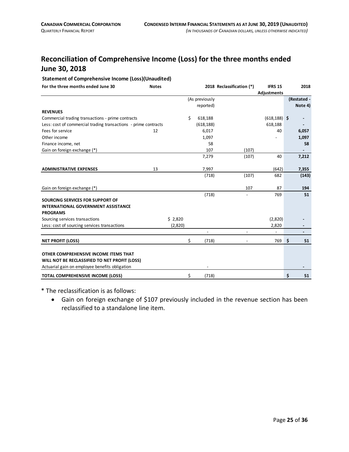### **Reconciliation of Comprehensive Income (Loss) for the three months ended June 30, 2018**

#### **Statement of Comprehensive Income (Loss)(Unaudited)**

| For the three months ended June 30                              | <b>Notes</b> |         |                | 2018 Reclassification (*) | <b>IFRS 15</b><br>Adjustments | 2018        |    |
|-----------------------------------------------------------------|--------------|---------|----------------|---------------------------|-------------------------------|-------------|----|
|                                                                 |              |         | (As previously |                           |                               | (Restated - |    |
|                                                                 |              |         | reported)      |                           |                               | Note 4)     |    |
| <b>REVENUES</b>                                                 |              |         |                |                           |                               |             |    |
| Commercial trading transactions - prime contracts               |              |         | \$<br>618,188  |                           | $(618, 188)$ \$               |             |    |
| Less: cost of commercial trading transactions - prime contracts |              |         | (618, 188)     |                           | 618,188                       |             |    |
| Fees for service                                                | 12           |         | 6,017          |                           | 40                            | 6,057       |    |
| Other income                                                    |              |         | 1,097          |                           |                               | 1,097       |    |
| Finance income, net                                             |              |         | 58             |                           |                               |             | 58 |
| Gain on foreign exchange (*)                                    |              |         | 107            | (107)                     |                               |             |    |
|                                                                 |              |         | 7,279          | (107)                     | 40                            | 7,212       |    |
|                                                                 |              |         |                |                           |                               |             |    |
| <b>ADMINISTRATIVE EXPENSES</b>                                  | 13           |         | 7,997          |                           | (642)                         | 7,355       |    |
|                                                                 |              |         | (718)          | (107)                     | 682                           | (143)       |    |
|                                                                 |              |         |                |                           |                               |             |    |
| Gain on foreign exchange (*)                                    |              |         |                | 107                       | 87                            | 194         |    |
|                                                                 |              |         | (718)          |                           | 769                           |             | 51 |
| SOURCING SERVICES FOR SUPPORT OF                                |              |         |                |                           |                               |             |    |
| <b>INTERNATIONAL GOVERNMENT ASSISTANCE</b>                      |              |         |                |                           |                               |             |    |
| <b>PROGRAMS</b>                                                 |              |         |                |                           |                               |             |    |
| Sourcing services transactions                                  |              | \$2,820 |                |                           | (2,820)                       |             |    |
| Less: cost of sourcing services transactions                    |              | (2,820) |                |                           | 2,820                         |             |    |
|                                                                 |              |         |                |                           |                               |             |    |
| <b>NET PROFIT (LOSS)</b>                                        |              |         | \$<br>(718)    |                           | 769                           | \$          | 51 |
| OTHER COMPREHENSIVE INCOME ITEMS THAT                           |              |         |                |                           |                               |             |    |
| WILL NOT BE RECLASSIFIED TO NET PROFIT (LOSS)                   |              |         |                |                           |                               |             |    |
| Actuarial gain on employee benefits obligation                  |              |         |                |                           |                               |             |    |
|                                                                 |              |         |                |                           |                               |             |    |
| <b>TOTAL COMPREHENSIVE INCOME (LOSS)</b>                        |              |         | \$<br>(718)    |                           |                               | \$          | 51 |

\* The reclassification is as follows:

• Gain on foreign exchange of \$107 previously included in the revenue section has been reclassified to a standalone line item.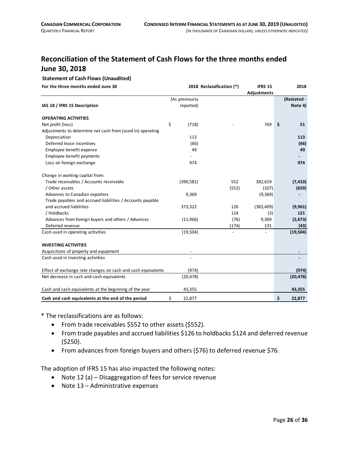#### **Reconciliation of the Statement of Cash Flows for the three months ended June 30, 2018**

#### **Statement of Cash Flows (Unaudited)**

**For the three months ended June 30 2018 Reclassification (\*) IFRS 15 2018**

|                                                              |                |       | Adjustments |    |             |
|--------------------------------------------------------------|----------------|-------|-------------|----|-------------|
|                                                              | (As previously |       |             |    | (Restated - |
| IAS 18 / IFRS 15 Description                                 | reported)      |       |             |    | Note 4)     |
| <b>OPERATING ACTIVITIES</b>                                  |                |       |             |    |             |
| Net profit (loss)                                            | \$<br>(718)    |       | 769         | Ŝ. | 51          |
| Adjustments to determine net cash from (used in) operating   |                |       |             |    |             |
| Depreciation                                                 | 113            |       |             |    | 113         |
| Deferred lease incentives                                    | (66)           |       |             |    | (66)        |
| Employee benefit expense                                     | 49             |       |             |    | 49          |
| Employee benefit payments                                    |                |       |             |    |             |
| Loss on foreign exchange                                     | 974            |       |             |    | 974         |
| Change in working capital from:                              |                |       |             |    |             |
| Trade receivables / Accounts receivable                      | (390, 581)     | 552   | 382,619     |    | (7, 410)    |
| / Other assets                                               |                | (552) | (107)       |    | (659)       |
| Advances to Canadian exporters                               | 9,369          |       | (9,369)     |    |             |
| Trade payables and accrued liabilities / Accounts payable    |                |       |             |    |             |
| and accrued liabilities                                      | 373,322        | 126   | (383, 409)  |    | (9,961)     |
| / Holdbacks                                                  |                | 124   | (3)         |    | 121         |
| Advances from foreign buyers and others / Advances           | (11,966)       | (76)  | 9,369       |    | (2,673)     |
| Deferred revenue                                             |                | (174) | 131         |    | (43)        |
| Cash used in operating activities                            | (19, 504)      |       |             |    | (19, 504)   |
| <b>INVESTING ACTIVITIES</b>                                  |                |       |             |    |             |
| Acquisitions of property and equipment                       |                |       |             |    |             |
| Cash used in investing activities                            |                |       |             |    |             |
| Effect of exchange rate changes on cash and cash equivalents | (974)          |       |             |    | (974)       |
| Net decrease in cash and cash equivalents                    | (20, 478)      |       |             |    | (20, 478)   |
| Cash and cash equivalents at the beginning of the year       | 43,355         |       |             |    | 43,355      |
| Cash and cash equivalents at the end of the period           | \$<br>22,877   |       |             | \$ | 22,877      |

\* The reclassifications are as follows:

- From trade receivables \$552 to other assets (\$552).
- From trade payables and accrued liabilities \$126 to holdbacks \$124 and deferred revenue (\$250).
- From advances from foreign buyers and others (\$76) to deferred revenue \$76.

The adoption of IFRS 15 has also impacted the following notes:

- Note 12 (a) Disaggregation of fees for service revenue
- Note 13 Administrative expenses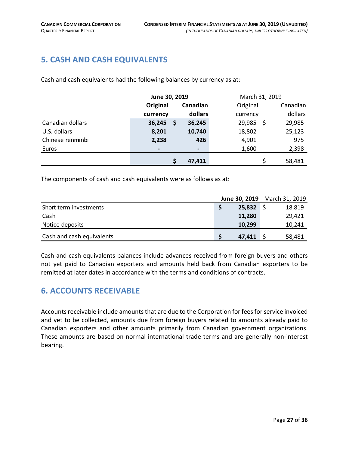#### <span id="page-26-0"></span>**5. CASH AND CASH EQUIVALENTS**

Cash and cash equivalents had the following balances by currency as at:

|                  | June 30, 2019 |                | March 31, 2019 |     |          |
|------------------|---------------|----------------|----------------|-----|----------|
|                  | Original      | Canadian       | Original       |     | Canadian |
|                  | currency      | dollars        | currency       |     | dollars  |
| Canadian dollars | 36,245<br>\$  | 36,245         | 29,985         | \$. | 29,985   |
| U.S. dollars     | 8,201         | 10,740         | 18,802         |     | 25,123   |
| Chinese renminbi | 2,238         | 426            | 4,901          |     | 975      |
| Euros            | -             | $\blacksquare$ | 1,600          |     | 2,398    |
|                  |               | 47,411         |                |     | 58,481   |

The components of cash and cash equivalents were as follows as at:

|                           |        | June 30, 2019 March 31, 2019 |
|---------------------------|--------|------------------------------|
| Short term investments    | 25,832 | 18,819                       |
| Cash                      | 11,280 | 29,421                       |
| Notice deposits           | 10,299 | 10,241                       |
| Cash and cash equivalents | 47,411 | 58,481                       |

Cash and cash equivalents balances include advances received from foreign buyers and others not yet paid to Canadian exporters and amounts held back from Canadian exporters to be remitted at later dates in accordance with the terms and conditions of contracts.

#### <span id="page-26-1"></span>**6. ACCOUNTS RECEIVABLE**

Accounts receivable include amounts that are due to the Corporation for fees for service invoiced and yet to be collected, amounts due from foreign buyers related to amounts already paid to Canadian exporters and other amounts primarily from Canadian government organizations. These amounts are based on normal international trade terms and are generally non-interest bearing.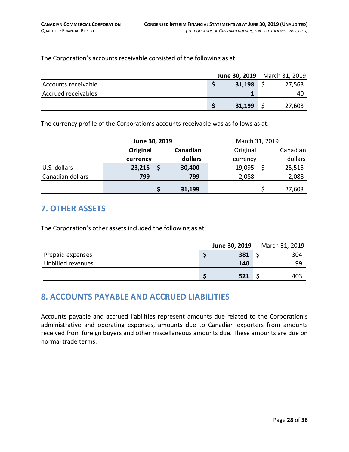The Corporation's accounts receivable consisted of the following as at:

|                     |        | <b>June 30, 2019</b> March 31, 2019 |
|---------------------|--------|-------------------------------------|
| Accounts receivable | 31,198 | 27,563                              |
| Accrued receivables |        | 40                                  |
|                     | 31,199 | 27,603                              |

The currency profile of the Corporation's accounts receivable was as follows as at:

|                  | June 30, 2019 |          |         |          | March 31, 2019 |          |  |  |  |
|------------------|---------------|----------|---------|----------|----------------|----------|--|--|--|
|                  | Original      | Canadian |         | Original |                | Canadian |  |  |  |
|                  | currency      |          | dollars | currency |                | dollars  |  |  |  |
| U.S. dollars     | 23,215        |          | 30,400  | 19,095   |                | 25,515   |  |  |  |
| Canadian dollars | 799           |          | 799     | 2,088    |                | 2,088    |  |  |  |
|                  |               |          | 31,199  |          |                | 27,603   |  |  |  |

#### <span id="page-27-0"></span>**7. OTHER ASSETS**

The Corporation's other assets included the following as at:

|                   | June 30, 2019 | March 31, 2019 |
|-------------------|---------------|----------------|
| Prepaid expenses  | 381           | 304            |
| Unbilled revenues | 140           | 99             |
|                   | 521           | 403            |

#### <span id="page-27-1"></span>**8. ACCOUNTS PAYABLE AND ACCRUED LIABILITIES**

Accounts payable and accrued liabilities represent amounts due related to the Corporation's administrative and operating expenses, amounts due to Canadian exporters from amounts received from foreign buyers and other miscellaneous amounts due. These amounts are due on normal trade terms.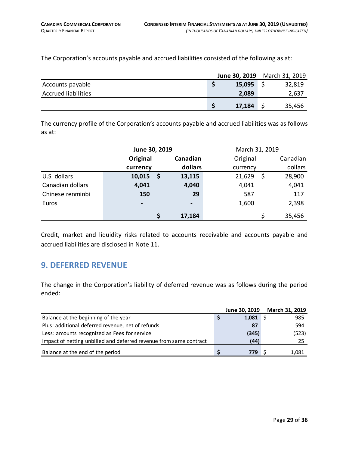The Corporation's accounts payable and accrued liabilities consisted of the following as at:

|                            | June 30, 2019 | March 31, 2019 |
|----------------------------|---------------|----------------|
| Accounts payable           | 15,095        | 32,819         |
| <b>Accrued liabilities</b> | 2,089         | 2,637          |
|                            | 17,184        | 35,456         |

The currency profile of the Corporation's accounts payable and accrued liabilities was as follows as at:

|                  | June 30, 2019  |   |                |          | March 31, 2019 |         |  |  |  |
|------------------|----------------|---|----------------|----------|----------------|---------|--|--|--|
|                  | Original       |   | Canadian       | Original |                |         |  |  |  |
|                  | currency       |   | dollars        | currency |                | dollars |  |  |  |
| U.S. dollars     | 10,015         | Ş | 13,115         | 21,629   | \$             | 28,900  |  |  |  |
| Canadian dollars | 4,041          |   | 4,040          | 4,041    |                | 4,041   |  |  |  |
| Chinese renminbi | 150            |   | 29             | 587      |                | 117     |  |  |  |
| Euros            | $\blacksquare$ |   | $\blacksquare$ | 1,600    |                | 2,398   |  |  |  |
|                  |                |   | 17,184         |          |                | 35,456  |  |  |  |

Credit, market and liquidity risks related to accounts receivable and accounts payable and accrued liabilities are disclosed in Note 11.

#### <span id="page-28-0"></span>**9. DEFERRED REVENUE**

The change in the Corporation's liability of deferred revenue was as follows during the period ended:

|                                                                    | June 30, 2019 March 31, 2019 |       |
|--------------------------------------------------------------------|------------------------------|-------|
| Balance at the beginning of the year                               | 1,081                        | 985   |
| Plus: additional deferred revenue, net of refunds                  | 87                           | 594   |
| Less: amounts recognized as Fees for service                       | (345)                        | (523) |
| Impact of netting unbilled and deferred revenue from same contract | (44)                         | 25    |
| Balance at the end of the period                                   | 779                          | 1,081 |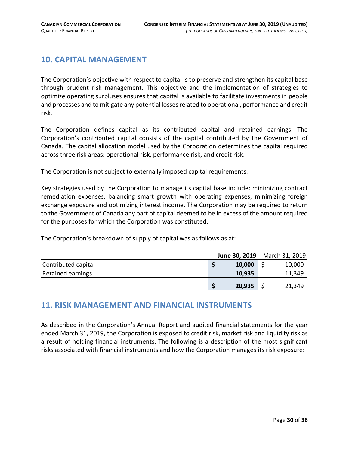#### <span id="page-29-0"></span>**10. CAPITAL MANAGEMENT**

The Corporation's objective with respect to capital is to preserve and strengthen its capital base through prudent risk management. This objective and the implementation of strategies to optimize operating surpluses ensures that capital is available to facilitate investments in people and processes and to mitigate any potential losses related to operational, performance and credit risk.

The Corporation defines capital as its contributed capital and retained earnings. The Corporation's contributed capital consists of the capital contributed by the Government of Canada. The capital allocation model used by the Corporation determines the capital required across three risk areas: operational risk, performance risk, and credit risk.

The Corporation is not subject to externally imposed capital requirements.

Key strategies used by the Corporation to manage its capital base include: minimizing contract remediation expenses, balancing smart growth with operating expenses, minimizing foreign exchange exposure and optimizing interest income. The Corporation may be required to return to the Government of Canada any part of capital deemed to be in excess of the amount required for the purposes for which the Corporation was constituted.

The Corporation's breakdown of supply of capital was as follows as at:

|                     | June 30, 2019 | March 31, 2019 |
|---------------------|---------------|----------------|
| Contributed capital | 10,000        | 10,000         |
| Retained earnings   | 10,935        | 11,349         |
|                     | 20,935        | 21,349         |

#### <span id="page-29-1"></span>**11. RISK MANAGEMENT AND FINANCIAL INSTRUMENTS**

As described in the Corporation's Annual Report and audited financial statements for the year ended March 31, 2019, the Corporation is exposed to credit risk, market risk and liquidity risk as a result of holding financial instruments. The following is a description of the most significant risks associated with financial instruments and how the Corporation manages its risk exposure: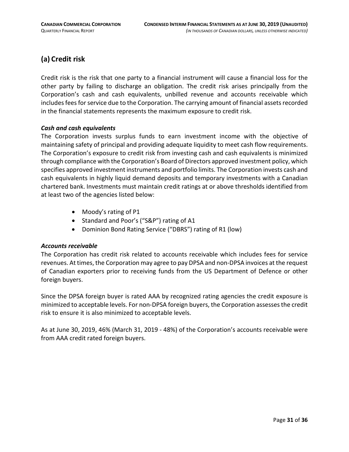#### **(a) Credit risk**

Credit risk is the risk that one party to a financial instrument will cause a financial loss for the other party by failing to discharge an obligation. The credit risk arises principally from the Corporation's cash and cash equivalents, unbilled revenue and accounts receivable which includes fees for service due to the Corporation. The carrying amount of financial assets recorded in the financial statements represents the maximum exposure to credit risk.

#### *Cash and cash equivalents*

The Corporation invests surplus funds to earn investment income with the objective of maintaining safety of principal and providing adequate liquidity to meet cash flow requirements. The Corporation's exposure to credit risk from investing cash and cash equivalents is minimized through compliance with the Corporation's Board of Directors approved investment policy, which specifies approved investment instruments and portfolio limits. The Corporation invests cash and cash equivalents in highly liquid demand deposits and temporary investments with a Canadian chartered bank. Investments must maintain credit ratings at or above thresholds identified from at least two of the agencies listed below:

- Moody's rating of P1
- Standard and Poor's ("S&P") rating of A1
- Dominion Bond Rating Service ("DBRS") rating of R1 (low)

#### *Accounts receivable*

The Corporation has credit risk related to accounts receivable which includes fees for service revenues. At times, the Corporation may agree to pay DPSA and non-DPSA invoices at the request of Canadian exporters prior to receiving funds from the US Department of Defence or other foreign buyers.

Since the DPSA foreign buyer is rated AAA by recognized rating agencies the credit exposure is minimized to acceptable levels. For non-DPSA foreign buyers, the Corporation assesses the credit risk to ensure it is also minimized to acceptable levels.

As at June 30, 2019, 46% (March 31, 2019 - 48%) of the Corporation's accounts receivable were from AAA credit rated foreign buyers.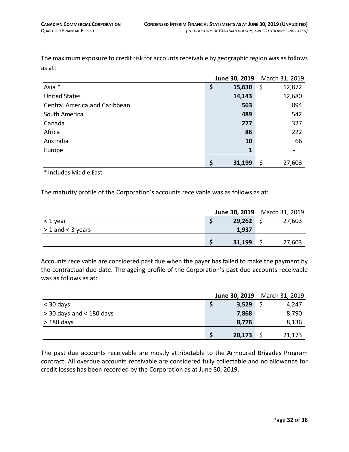The maximum exposure to credit risk for accounts receivable by geographic region was as follows as at:

|                                      | June 30, 2019 | March 31, 2019 |
|--------------------------------------|---------------|----------------|
| Asia *                               | \$<br>15,630  | \$<br>12,872   |
| <b>United States</b>                 | 14,143        | 12,680         |
| <b>Central America and Caribbean</b> | 563           | 894            |
| South America                        | 489           | 542            |
| Canada                               | 277           | 327            |
| Africa                               | 86            | 222            |
| Australia                            | 10            | 66             |
| Europe                               | 1             |                |
|                                      | \$<br>31,199  | 27,603<br>\$   |

\* Includes Middle East

The maturity profile of the Corporation's accounts receivable was as follows as at:

|                       |        | June 30, 2019 March 31, 2019 |
|-----------------------|--------|------------------------------|
| < 1 year              | 29,262 | 27,603                       |
| $> 1$ and $<$ 3 years | 1,937  | $\overline{\phantom{0}}$     |
|                       | 31,199 | 27,603                       |

Accounts receivable are considered past due when the payer has failed to make the payment by the contractual due date. The ageing profile of the Corporation's past due accounts receivable was as follows as at:

|                            |        | June 30, 2019 March 31, 2019 |
|----------------------------|--------|------------------------------|
| $<$ 30 days                | 3,529  | 4,247                        |
| $>$ 30 days and < 180 days | 7,868  | 8,790                        |
| $>180$ days                | 8,776  | 8,136                        |
|                            | 20,173 | 21,173                       |

The past due accounts receivable are mostly attributable to the Armoured Brigades Program contract. All overdue accounts receivable are considered fully collectable and no allowance for credit losses has been recorded by the Corporation as at June 30, 2019.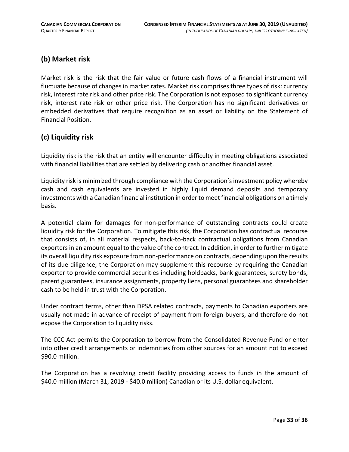#### **(b) Market risk**

Market risk is the risk that the fair value or future cash flows of a financial instrument will fluctuate because of changes in market rates. Market risk comprises three types of risk: currency risk, interest rate risk and other price risk. The Corporation is not exposed to significant currency risk, interest rate risk or other price risk. The Corporation has no significant derivatives or embedded derivatives that require recognition as an asset or liability on the Statement of Financial Position.

#### **(c) Liquidity risk**

Liquidity risk is the risk that an entity will encounter difficulty in meeting obligations associated with financial liabilities that are settled by delivering cash or another financial asset.

Liquidity risk is minimized through compliance with the Corporation's investment policy whereby cash and cash equivalents are invested in highly liquid demand deposits and temporary investments with a Canadian financial institution in order to meet financial obligations on a timely basis.

A potential claim for damages for non-performance of outstanding contracts could create liquidity risk for the Corporation. To mitigate this risk, the Corporation has contractual recourse that consists of, in all material respects, back-to-back contractual obligations from Canadian exporters in an amount equal to the value of the contract. In addition, in order to further mitigate its overall liquidity risk exposure from non-performance on contracts, depending upon the results of its due diligence, the Corporation may supplement this recourse by requiring the Canadian exporter to provide commercial securities including holdbacks, bank guarantees, surety bonds, parent guarantees, insurance assignments, property liens, personal guarantees and shareholder cash to be held in trust with the Corporation.

Under contract terms, other than DPSA related contracts, payments to Canadian exporters are usually not made in advance of receipt of payment from foreign buyers, and therefore do not expose the Corporation to liquidity risks.

The CCC Act permits the Corporation to borrow from the Consolidated Revenue Fund or enter into other credit arrangements or indemnities from other sources for an amount not to exceed \$90.0 million.

The Corporation has a revolving credit facility providing access to funds in the amount of \$40.0 million (March 31, 2019 - \$40.0 million) Canadian or its U.S. dollar equivalent.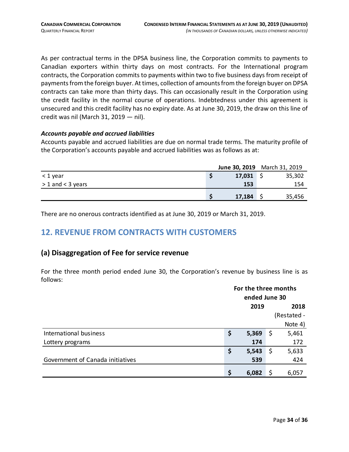As per contractual terms in the DPSA business line, the Corporation commits to payments to Canadian exporters within thirty days on most contracts. For the International program contracts, the Corporation commits to payments within two to five business days from receipt of payments from the foreign buyer. At times, collection of amountsfrom the foreign buyer on DPSA contracts can take more than thirty days. This can occasionally result in the Corporation using the credit facility in the normal course of operations. Indebtedness under this agreement is unsecured and this credit facility has no expiry date. As at June 30, 2019, the draw on this line of credit was nil (March 31, 2019 — nil).

#### *Accounts payable and accrued liabilities*

Accounts payable and accrued liabilities are due on normal trade terms. The maturity profile of the Corporation's accounts payable and accrued liabilities was as follows as at:

|                       | June 30, 2019 March 31, 2019 |        |
|-----------------------|------------------------------|--------|
| < 1 year              | 17,031                       | 35,302 |
| $> 1$ and $<$ 3 years | 153                          | 154    |
|                       | 17,184                       | 35,456 |

There are no onerous contracts identified as at June 30, 2019 or March 31, 2019.

#### <span id="page-33-0"></span>**12. REVENUE FROM CONTRACTS WITH CUSTOMERS**

#### **(a) Disaggregation of Fee for service revenue**

For the three month period ended June 30, the Corporation's revenue by business line is as follows:

|                                  | For the three months<br>ended June 30 |              |     |             |  |
|----------------------------------|---------------------------------------|--------------|-----|-------------|--|
|                                  |                                       | 2019<br>2018 |     |             |  |
|                                  |                                       |              |     | (Restated - |  |
|                                  |                                       |              |     | Note 4)     |  |
| International business           | \$                                    | 5,369        | -\$ | 5,461       |  |
| Lottery programs                 |                                       | 174          |     | 172         |  |
|                                  | \$                                    | 5,543        | -\$ | 5,633       |  |
| Government of Canada initiatives |                                       | 539          |     | 424         |  |
|                                  | \$                                    | 6,082        |     | 6,057       |  |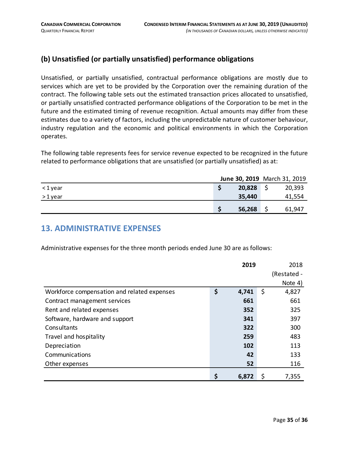#### **(b) Unsatisfied (or partially unsatisfied) performance obligations**

Unsatisfied, or partially unsatisfied, contractual performance obligations are mostly due to services which are yet to be provided by the Corporation over the remaining duration of the contract. The following table sets out the estimated transaction prices allocated to unsatisfied, or partially unsatisfied contracted performance obligations of the Corporation to be met in the future and the estimated timing of revenue recognition. Actual amounts may differ from these estimates due to a variety of factors, including the unpredictable nature of customer behaviour, industry regulation and the economic and political environments in which the Corporation operates.

The following table represents fees for service revenue expected to be recognized in the future related to performance obligations that are unsatisfied (or partially unsatisfied) as at:

|          |        | June 30, 2019 March 31, 2019 |
|----------|--------|------------------------------|
| <1 year  | 20,828 | 20,393                       |
| > 1 year | 35,440 | 41,554                       |
|          | 56,268 | 61,947                       |

#### <span id="page-34-0"></span>**13. ADMINISTRATIVE EXPENSES**

Administrative expenses for the three month periods ended June 30 are as follows:

|                                             | 2019        | 2018        |
|---------------------------------------------|-------------|-------------|
|                                             |             | (Restated - |
|                                             |             | Note 4)     |
| Workforce compensation and related expenses | \$<br>4,741 | \$<br>4,827 |
| Contract management services                | 661         | 661         |
| Rent and related expenses                   | 352         | 325         |
| Software, hardware and support              | 341         | 397         |
| Consultants                                 | 322         | 300         |
| Travel and hospitality                      | 259         | 483         |
| Depreciation                                | 102         | 113         |
| Communications                              | 42          | 133         |
| Other expenses                              | 52          | 116         |
|                                             | \$<br>6,872 | 7,355       |